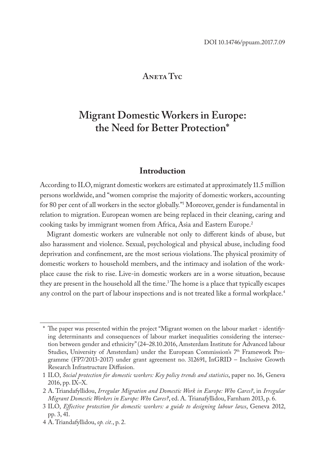#### **Aneta Tyc**

# **Migrant Domestic Workers in Europe: the Need for Better Protection\***

#### **Introduction**

According to ILO, migrant domestic workers are estimated at approximately 11.5 million persons worldwide, and "women comprise the majority of domestic workers, accounting for 80 per cent of all workers in the sector globally."1 Moreover, gender is fundamental in relation to migration. European women are being replaced in their cleaning, caring and cooking tasks by immigrant women from Africa, Asia and Eastern Europe.<sup>2</sup>

Migrant domestic workers are vulnerable not only to different kinds of abuse, but also harassment and violence. Sexual, psychological and physical abuse, including food deprivation and confinement, are the most serious violations. The physical proximity of domestic workers to household members, and the intimacy and isolation of the workplace cause the risk to rise. Live-in domestic workers are in a worse situation, because they are present in the household all the time.<sup>3</sup> The home is a place that typically escapes any control on the part of labour inspections and is not treated like a formal workplace.<sup>4</sup>

<sup>\*</sup> The paper was presented within the project "Migrant women on the labour market - identifying determinants and consequences of labour market inequalities considering the intersection between gender and ethnicity" (24–28.10.2016, Amsterdam Institute for Advanced labour Studies, University of Amsterdam) under the European Commission's 7<sup>th</sup> Framework Programme (FP7/2013-2017) under grant agreement no. 312691, InGRID – Inclusive Growth Research Infrastructure Diffusion.

<sup>1</sup> ILO, *Social protection for domestic workers: Key policy trends and statistics*, paper no. 16, Geneva 2016, pp. IX–X.

<sup>2</sup> A. Triandafyllidou, *Irregular Migration and Domestic Work in Europe: Who Cares?*, in *Irregular Migrant Domestic Workers in Europe: Who Cares?*, ed. A. Trianafyllidou, Farnham 2013, p. 6.

<sup>3</sup> ILO, *Effective protection for domestic workers: a guide to designing labour laws*, Geneva 2012, pp. 3, 41.

<sup>4</sup> A. Triandafyllidou, *op. cit.*, p. 2.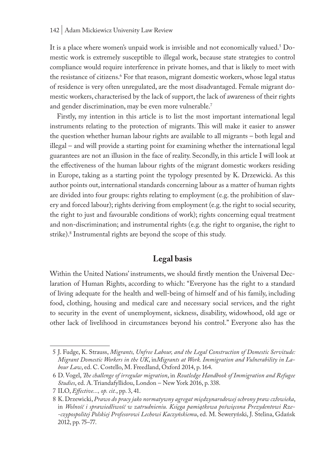#### 142 | Adam Mickiewicz University Law Review

It is a place where women's unpaid work is invisible and not economically valued.<sup>5</sup> Domestic work is extremely susceptible to illegal work, because state strategies to control compliance would require interference in private homes, and that is likely to meet with the resistance of citizens.<sup>6</sup> For that reason, migrant domestic workers, whose legal status of residence is very often unregulated, are the most disadvantaged. Female migrant domestic workers, characterised by the lack of support, the lack of awareness of their rights and gender discrimination, may be even more vulnerable.<sup>7</sup>

Firstly, my intention in this article is to list the most important international legal instruments relating to the protection of migrants. This will make it easier to answer the question whether human labour rights are available to all migrants – both legal and illegal – and will provide a starting point for examining whether the international legal guarantees are not an illusion in the face of reality. Secondly, in this article I will look at the effectiveness of the human labour rights of the migrant domestic workers residing in Europe, taking as a starting point the typology presented by K. Drzewicki. As this author points out, international standards concerning labour as a matter of human rights are divided into four groups: rights relating to employment (e.g. the prohibition of slavery and forced labour); rights deriving from employment (e.g. the right to social security, the right to just and favourable conditions of work); rights concerning equal treatment and non-discrimination; and instrumental rights (e.g. the right to organise, the right to strike).8 Instrumental rights are beyond the scope of this study.

## **Legal basis**

Within the United Nations' instruments, we should firstly mention the Universal Declaration of Human Rights, according to which: "Everyone has the right to a standard of living adequate for the health and well-being of himself and of his family, including food, clothing, housing and medical care and necessary social services, and the right to security in the event of unemployment, sickness, disability, widowhood, old age or other lack of livelihood in circumstances beyond his control." Everyone also has the

<sup>5</sup> J. Fudge, K. Strauss, *Migrants, Unfree Labour, and the Legal Construction of Domestic Servitude: Migrant Domestic Workers in the UK*, in*Migrants at Work. Immigration and Vulnerability in Labour Law*, ed. C. Costello, M. Freedland, Oxford 2014, p. 164.

<sup>6</sup> D. Vogel, *The challenge of irregular migration*, in *Routledge Handbook of Immigration and Refugee Studies*, ed. A. Triandafyllidou, London – New York 2016, p. 338.

<sup>7</sup> ILO, *Effective..., op. cit.*, pp. 3, 41.

<sup>8</sup> K. Drzewicki, *Prawo do pracy jako normatywny agregat międzynarodowej ochrony praw człowieka*, in *Wolność i sprawiedliwość w zatrudnieniu. Księga pamiątkowa poświęcona Prezydentowi Rze- -czypospolitej Polskiej Profesorowi Lechowi Kaczyńskiemu*, ed. M. Seweryński, J. Stelina, Gdańsk 2012, pp. 75–77.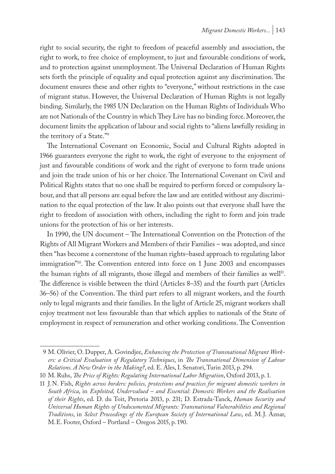right to social security, the right to freedom of peaceful assembly and association, the right to work, to free choice of employment, to just and favourable conditions of work, and to protection against unemployment. The Universal Declaration of Human Rights sets forth the principle of equality and equal protection against any discrimination. The document ensures these and other rights to "everyone," without restrictions in the case of migrant status. However, the Universal Declaration of Human Rights is not legally binding. Similarly, the 1985 UN Declaration on the Human Rights of Individuals Who are not Nationals of the Country in which They Live has no binding force. Moreover, the document limits the application of labour and social rights to "aliens lawfully residing in the territory of a State."9

The International Covenant on Economic, Social and Cultural Rights adopted in 1966 guarantees everyone the right to work, the right of everyone to the enjoyment of just and favourable conditions of work and the right of everyone to form trade unions and join the trade union of his or her choice. The International Covenant on Civil and Political Rights states that no one shall be required to perform forced or compulsory labour, and that all persons are equal before the law and are entitled without any discrimination to the equal protection of the law. It also points out that everyone shall have the right to freedom of association with others, including the right to form and join trade unions for the protection of his or her interests.

In 1990, the UN document – The International Convention on the Protection of the Rights of All Migrant Workers and Members of their Families – was adopted, and since then "has become a cornerstone of the human rights–based approach to regulating labor immigration"10. The Convention entered into force on 1 June 2003 and encompasses the human rights of all migrants, those illegal and members of their families as well<sup>11</sup>. The difference is visible between the third (Articles 8–35) and the fourth part (Articles 36–56) of the Convention. The third part refers to all migrant workers, and the fourth only to legal migrants and their families. In the light of Article 25, migrant workers shall enjoy treatment not less favourable than that which applies to nationals of the State of employment in respect of remuneration and other working conditions. The Convention

<sup>9</sup> M. Olivier, O. Dupper, A. Govindjee, *Enhancing the Protection of Transnational Migrant Workers: a Critical Evaluation of Regulatory Techniques*, in *The Transnational Dimension of Labour Relations. A New Order in the Making?*, ed. E. Ales, I. Senatori, Turin 2013, p. 294.

<sup>10</sup> M. Ruhs, *The Price of Rights: Regulating International Labor Migration*, Oxford 2013, p. 1.

<sup>11</sup> J.N. Fish, *Rights across borders: policies, protections and practices for migrant domestic workers in South Africa*, in *Exploited, Undervalued – and Essential: Domestic Workers and the Realisation of their Rights*, ed. D. du Toit, Pretoria 2013, p. 231; D. Estrada-Tanck, *Human Security and Universal Human Rights of Undocumented Migrants: Transnational Vulnerabilities and Regional Traditions*, in *Select Proceedings of the European Society of International Law*, ed. M.J. Aznar, M.E. Footer, Oxford – Portland – Oregon 2015, p. 190.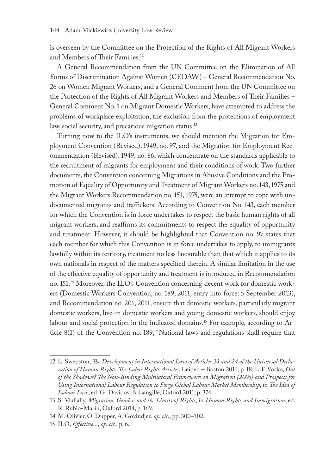is overseen by the Committee on the Protection of the Rights of All Migrant Workers and Members of Their Families.<sup>12</sup>

A General Recommendation from the UN Committee on the Elimination of All Forms of Discrimination Against Women (CEDAW) – General Recommendation No. 26 on Women Migrant Workers, and a General Comment from the UN Committee on the Protection of the Rights of All Migrant Workers and Members of Their Families – General Comment No. 1 on Migrant Domestic Workers, have attempted to address the problems of workplace exploitation, the exclusion from the protections of employment law, social security, and precarious migration status.<sup>13</sup>

Turning now to the ILO's instruments, we should mention the Migration for Employment Convention (Revised), 1949, no. 97, and the Migration for Employment Recommendation (Revised), 1949, no. 86, which concentrate on the standards applicable to the recruitment of migrants for employment and their conditions of work. Two further documents, the Convention concerning Migrations in Abusive Conditions and the Promotion of Equality of Opportunity and Treatment of Migrant Workers no. 143, 1975 and the Migrant Workers Recommendation no. 151, 1975, were an attempt to cope with undocumented migrants and traffickers. According to Convention No. 143, each member for which the Convention is in force undertakes to respect the basic human rights of all migrant workers, and reaffirms its commitments to respect the equality of opportunity and treatment. However, it should be highlighted that Convention no. 97 states that each member for which this Convention is in force undertakes to apply, to immigrants lawfully within its territory, treatment no less favourable than that which it applies to its own nationals in respect of the matters specified therein. A similar limitation in the use of the effective equality of opportunity and treatment is introduced in Recommendation no. 151.14 Moreover, the ILO's Convention concerning decent work for domestic workers (Domestic Workers Convention, no. 189, 2011, entry into force: 5 September 2013), and Recommendation no. 201, 2011, ensure that domestic workers, particularly migrant domestic workers, live-in domestic workers and young domestic workers, should enjoy labour and social protection in the indicated domains.15 For example, according to Article 8(1) of the Convention no. 189, "National laws and regulations shall require that

<sup>12</sup> L. Swepston, *The Development in International Law of Articles 23 and 24 of the Universal Declaration of Human Rights: The Labor Rights Articles*, Leiden – Boston 2014, p. 18; L.F. Vosko, *Out of the Shadows? The Non-Binding Multilateral Framework on Migration (2006) and Prospects for Using International Labour Regulation to Forge Global Labour Market Membership*, in *The Idea of Labour Law*, ed. G. Davidov, B. Langille, Oxford 2011, p. 374.

<sup>13</sup> S. Mullally, *Migration, Gender, and the Limits of Rights*, in *Human Rights and Immigration*, ed. R. Rubio-Marín, Oxford 2014, p. 169.

<sup>14</sup> M. Olivier, O. Dupper, A. Govindjee, *op. cit*., pp. 300–302.

<sup>15</sup> ILO, *Effective..., op. cit.*, p. 6.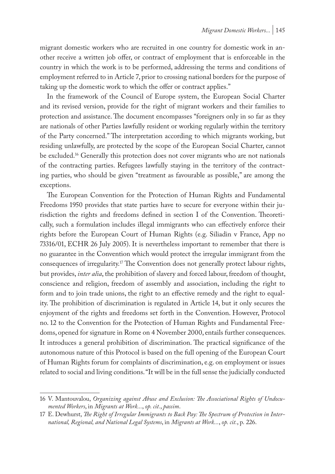migrant domestic workers who are recruited in one country for domestic work in another receive a written job offer, or contract of employment that is enforceable in the country in which the work is to be performed, addressing the terms and conditions of employment referred to in Article 7, prior to crossing national borders for the purpose of taking up the domestic work to which the offer or contract applies."

In the framework of the Council of Europe system, the European Social Charter and its revised version, provide for the right of migrant workers and their families to protection and assistance. The document encompasses "foreigners only in so far as they are nationals of other Parties lawfully resident or working regularly within the territory of the Party concerned." The interpretation according to which migrants working, but residing unlawfully, are protected by the scope of the European Social Charter, cannot be excluded.16 Generally this protection does not cover migrants who are not nationals of the contracting parties. Refugees lawfully staying in the territory of the contracting parties, who should be given "treatment as favourable as possible," are among the exceptions.

The European Convention for the Protection of Human Rights and Fundamental Freedoms 1950 provides that state parties have to secure for everyone within their jurisdiction the rights and freedoms defined in section I of the Convention. Theoretically, such a formulation includes illegal immigrants who can effectively enforce their rights before the European Court of Human Rights (e.g. Siliadin v France, App no 73316/01, ECHR 26 July 2005). It is nevertheless important to remember that there is no guarantee in the Convention which would protect the irregular immigrant from the consequences of irregularity.17 The Convention does not generally protect labour rights, but provides, *inter alia*, the prohibition of slavery and forced labour, freedom of thought, conscience and religion, freedom of assembly and association, including the right to form and to join trade unions, the right to an effective remedy and the right to equality. The prohibition of discrimination is regulated in Article 14, but it only secures the enjoyment of the rights and freedoms set forth in the Convention. However, Protocol no. 12 to the Convention for the Protection of Human Rights and Fundamental Freedoms, opened for signature in Rome on 4 November 2000, entails further consequences. It introduces a general prohibition of discrimination. The practical significance of the autonomous nature of this Protocol is based on the full opening of the European Court of Human Rights forum for complaints of discrimination, e.g. on employment or issues related to social and living conditions. "It will be in the full sense the judicially conducted

<sup>16</sup> V. Mantouvalou, *Organizing against Abuse and Exclusion: The Associational Rights of Undocumented Workers*, in *Migrants at Work...*, *op. cit.*, *passim*.

<sup>17</sup> E. Dewhurst, *The Right of Irregular Immigrants to Back Pay: The Spectrum of Protection in International, Regional, and National Legal Systems*, in *Migrants at Work...*, *op. cit.*, p. 226.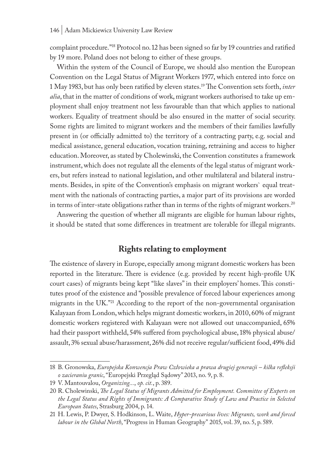complaint procedure."18 Protocol no. 12 has been signed so far by 19 countries and ratified by 19 more. Poland does not belong to either of these groups.

Within the system of the Council of Europe, we should also mention the European Convention on the Legal Status of Migrant Workers 1977, which entered into force on 1 May 1983, but has only been ratified by eleven states.19 The Convention sets forth, *inter alia*, that in the matter of conditions of work, migrant workers authorised to take up employment shall enjoy treatment not less favourable than that which applies to national workers. Equality of treatment should be also ensured in the matter of social security. Some rights are limited to migrant workers and the members of their families lawfully present in (or officially admitted to) the territory of a contracting party, e.g. social and medical assistance, general education, vocation training, retraining and access to higher education. Moreover, as stated by Cholewinski, the Convention constitutes a framework instrument, which does not regulate all the elements of the legal status of migrant workers, but refers instead to national legislation, and other multilateral and bilateral instruments. Besides, in spite of the Convention's emphasis on migrant workers` equal treatment with the nationals of contracting parties, a major part of its provisions are worded in terms of inter-state obligations rather than in terms of the rights of migrant workers.<sup>20</sup>

Answering the question of whether all migrants are eligible for human labour rights, it should be stated that some differences in treatment are tolerable for illegal migrants.

## **Rights relating to employment**

The existence of slavery in Europe, especially among migrant domestic workers has been reported in the literature. There is evidence (e.g. provided by recent high-profile UK court cases) of migrants being kept "like slaves" in their employers' homes. This constitutes proof of the existence and "possible prevalence of forced labour experiences among migrants in the UK."21 According to the report of the non-governmental organisation Kalayaan from London, which helps migrant domestic workers, in 2010, 60% of migrant domestic workers registered with Kalayaan were not allowed out unaccompanied, 65% had their passport withheld, 54% suffered from psychological abuse, 18% physical abuse/ assault, 3% sexual abuse/harassment, 26% did not receive regular/sufficient food, 49% did

<sup>18</sup> B. Gronowska, *Europejska Konwencja Praw Człowieka a prawa drugiej generacji – kilka refleksji o zacieraniu granic*, "Europejski Przegląd Sądowy" 2013, no. 9, p. 8.

<sup>19</sup> V. Mantouvalou, *Organizing...*, *op. cit.*, p. 389.

<sup>20</sup> R. Cholewinski, *The Legal Status of Migrants Admitted for Employment. Committee of Experts on the Legal Status and Rights of Immigrants: A Comparative Study of Law and Practice in Selected European States*, Strasburg 2004, p. 14.

<sup>21</sup> H. Lewis, P. Dwyer, S. Hodkinson, L. Waite, *Hyper-precarious lives: Migrants, work and forced labour in the Global North*, "Progress in Human Geography" 2015, vol. 39, no. 5, p. 589.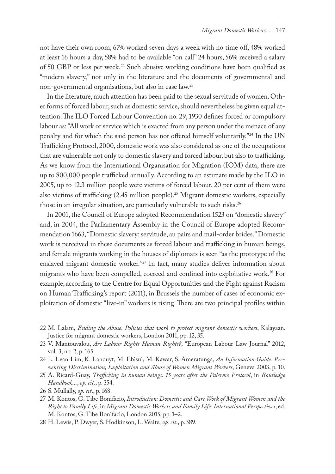not have their own room, 67% worked seven days a week with no time off, 48% worked at least 16 hours a day, 58% had to be available "on call" 24 hours, 56% received a salary of 50 GBP or less per week.<sup>22</sup> Such abusive working conditions have been qualified as "modern slavery," not only in the literature and the documents of governmental and non-governmental organisations, but also in case law.23

In the literature, much attention has been paid to the sexual servitude of women. Other forms of forced labour, such as domestic service, should nevertheless be given equal attention. The ILO Forced Labour Convention no. 29, 1930 defines forced or compulsory labour as: "All work or service which is exacted from any person under the menace of any penalty and for which the said person has not offered himself voluntarily."24 In the UN Trafficking Protocol, 2000, domestic work was also considered as one of the occupations that are vulnerable not only to domestic slavery and forced labour, but also to trafficking. As we know from the International Organisation for Migration (IOM) data, there are up to 800,000 people trafficked annually. According to an estimate made by the ILO in 2005, up to 12.3 million people were victims of forced labour. 20 per cent of them were also victims of trafficking  $(2.45 \text{ million people})^{25}$  Migrant domestic workers, especially those in an irregular situation, are particularly vulnerable to such risks.<sup>26</sup>

In 2001, the Council of Europe adopted Recommendation 1523 on "domestic slavery" and, in 2004, the Parliamentary Assembly in the Council of Europe adopted Recommendation 1663, "Domestic slavery: servitude, au pairs and mail-order brides." Domestic work is perceived in these documents as forced labour and trafficking in human beings, and female migrants working in the houses of diplomats is seen "as the prototype of the enslaved migrant domestic worker."27 In fact, many studies deliver information about migrants who have been compelled, coerced and confined into exploitative work.<sup>28</sup> For example, according to the Centre for Equal Opportunities and the Fight against Racism on Human Trafficking's report (2011), in Brussels the number of cases of economic exploitation of domestic "live-in" workers is rising. There are two principal profiles within

<sup>22</sup> M. Lalani, *Ending the Abuse. Policies that work to protect migrant domestic workers*, Kalayaan. Justice for migrant domestic workers, London 2011, pp. 12, 35.

<sup>23</sup> V. Mantouvalou, *Are Labour Rights Human Rights?*, "European Labour Law Journal" 2012, vol. 3, no. 2, p. 165.

<sup>24</sup> L. Lean Lim, K. Landuyt, M. Ebisui, M. Kawar, S. Ameratunga, *An Information Guide: Preventing Discrimination, Exploitation and Abuse of Women Migrant Workers*, Geneva 2003, p. 10.

<sup>25</sup> A. Ricard-Guay, *Trafficking in human beings. 15 years after the Palermo Protocol*, in *Routledge Handbook...*, *op. cit.*, p. 354.

<sup>26</sup> S. Mullally, *op. cit*., p. 168.

<sup>27</sup> M. Kontos, G. Tibe Bonifacio, *Introduction: Domestic and Care Work of Migrant Women and the Right to Family Life*, in *Migrant Domestic Workers and Family Life: International Perspectives*, ed. M. Kontos, G. Tibe Bonifacio, London 2015, pp. 1–2.

<sup>28</sup> H. Lewis, P. Dwyer, S. Hodkinson, L. Waite, *op. cit*., p. 589.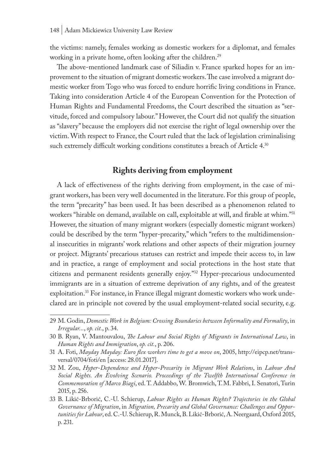the victims: namely, females working as domestic workers for a diplomat, and females working in a private home, often looking after the children.<sup>29</sup>

The above-mentioned landmark case of Siliadin v. France sparked hopes for an improvement to the situation of migrant domestic workers. The case involved a migrant domestic worker from Togo who was forced to endure horrific living conditions in France. Taking into consideration Article 4 of the European Convention for the Protection of Human Rights and Fundamental Freedoms, the Court described the situation as "servitude, forced and compulsory labour." However, the Court did not qualify the situation as "slavery" because the employers did not exercise the right of legal ownership over the victim. With respect to France, the Court ruled that the lack of legislation criminalising such extremely difficult working conditions constitutes a breach of Article 4.<sup>30</sup>

## **Rights deriving from employment**

A lack of effectiveness of the rights deriving from employment, in the case of migrant workers, has been very well documented in the literature. For this group of people, the term "precarity" has been used. It has been described as a phenomenon related to workers "hirable on demand, available on call, exploitable at will, and firable at whim."31 However, the situation of many migrant workers (especially domestic migrant workers) could be described by the term "hyper-precarity," which "refers to the multidimensional insecurities in migrants' work relations and other aspects of their migration journey or project. Migrants' precarious statuses can restrict and impede their access to, in law and in practice, a range of employment and social protections in the host state that citizens and permanent residents generally enjoy."32 Hyper-precarious undocumented immigrants are in a situation of extreme deprivation of any rights, and of the greatest exploitation.<sup>33</sup> For instance, in France illegal migrant domestic workers who work undeclared are in principle not covered by the usual employment-related social security, e.g.

<sup>29</sup> M. Godin, *Domestic Work in Belgium: Crossing Boundaries between Informality and Formality*, in *Irregular...*, *op. cit.*, p. 34.

<sup>30</sup> B. Ryan, V. Mantouvalou, *The Labour and Social Rights of Migrants in International Law*, in *Human Rights and Immigration*, *op. cit.*, p. 206.

<sup>31</sup> A. Foti, *Mayday Mayday: Euro flex workers time to get a move on*, 2005, http://eipcp.net/transversal/0704/foti/en [access: 28.01.2017].

<sup>32</sup> M. Zou, *Hyper-Dependence and Hyper-Precarity in Migrant Work Relations*, in *Labour And Social Rights. An Evolving Scenario. Proceedings of the Twelfth International Conference in Commemoration of Marco Biagi*, ed. T. Addabbo, W. Bromwich, T.M. Fabbri, I. Senatori, Turin 2015, p. 256.

<sup>33</sup> B. Likić-Brborić, C.-U. Schierup, *Labour Rights as Human Rights? Trajectories in the Global Governance of Migration*, in *Migration, Precarity and Global Governance: Challenges and Opportunities for Labour*, ed. C.-U. Schierup, R. Munck, B. Likić-Brborić, A. Neergaard, Oxford 2015, p. 231.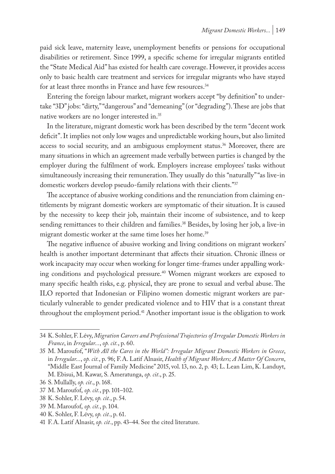paid sick leave, maternity leave, unemployment benefits or pensions for occupational disabilities or retirement. Since 1999, a specific scheme for irregular migrants entitled the "State Medical Aid" has existed for health care coverage. However, it provides access only to basic health care treatment and services for irregular migrants who have stayed for at least three months in France and have few resources.<sup>34</sup>

Entering the foreign labour market, migrant workers accept "by definition" to undertake "3D" jobs: "dirty," "dangerous" and "demeaning" (or "degrading"). These are jobs that native workers are no longer interested in.35

In the literature, migrant domestic work has been described by the term "decent work deficit". It implies not only low wages and unpredictable working hours, but also limited access to social security, and an ambiguous employment status.<sup>36</sup> Moreover, there are many situations in which an agreement made verbally between parties is changed by the employer during the fulfilment of work. Employers increase employees' tasks without simultaneously increasing their remuneration. They usually do this "naturally" "as live-in domestic workers develop pseudo-family relations with their clients."37

The acceptance of abusive working conditions and the renunciation from claiming entitlements by migrant domestic workers are symptomatic of their situation. It is caused by the necessity to keep their job, maintain their income of subsistence, and to keep sending remittances to their children and families.<sup>38</sup> Besides, by losing her job, a live-in migrant domestic worker at the same time loses her home.<sup>39</sup>

The negative influence of abusive working and living conditions on migrant workers' health is another important determinant that affects their situation. Chronic illness or work incapacity may occur when working for longer time-frames under appalling working conditions and psychological pressure.40 Women migrant workers are exposed to many specific health risks, e.g. physical, they are prone to sexual and verbal abuse. The ILO reported that Indonesian or Filipino women domestic migrant workers are particularly vulnerable to gender predicated violence and to HIV that is a constant threat throughout the employment period.<sup>41</sup> Another important issue is the obligation to work

<sup>34</sup> K. Sohler, F. Lévy, *Migration Careers and Professional Trajectories of Irregular Domestic Workers in France*, in *Irregular...*, *op. cit.*, p. 60.

<sup>35</sup> M. Maroufof, "*With All the Cares in the World": Irregular Migrant Domestic Workers in Greece*, in *Irregular...*, *op. cit.*, p. 96; F.A. Latif Alnasir, *Health of Migrant Workers; A Matter Of Concern*, "Middle East Journal of Family Medicine" 2015, vol. 13, no. 2, p. 43; L. Lean Lim, K. Landuyt, M. Ebisui, M. Kawar, S. Ameratunga, *op. cit*., p. 25.

<sup>36</sup> S. Mullally, *op. cit*., p. 168.

<sup>37</sup> M. Maroufof, *op. cit.*, pp. 101–102.

<sup>38</sup> K. Sohler, F. Lévy, *op. cit.*, p. 54.

<sup>39</sup> M. Maroufof, *op. cit.*, p. 104.

<sup>40</sup> K. Sohler, F. Lévy, *op. cit.*, p. 61.

<sup>41</sup> F.A. Latif Alnasir, *op. cit.*, pp. 43–44. See the cited literature.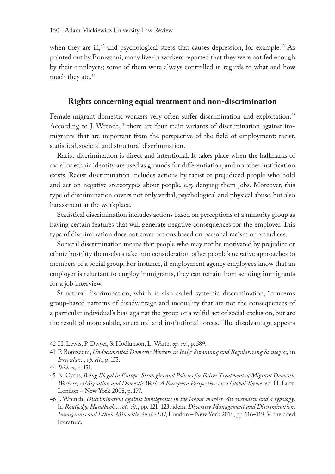when they are ill,<sup>42</sup> and psychological stress that causes depression, for example.<sup>43</sup> As pointed out by Bonizzoni, many live-in workers reported that they were not fed enough by their employers; some of them were always controlled in regards to what and how much they ate.<sup>44</sup>

#### **Rights concerning equal treatment and non-discrimination**

Female migrant domestic workers very often suffer discrimination and exploitation.<sup>45</sup> According to J. Wrench,<sup>46</sup> there are four main variants of discrimination against immigrants that are important from the perspective of the field of employment: racist, statistical, societal and structural discrimination.

Racist discrimination is direct and intentional. It takes place when the hallmarks of racial or ethnic identity are used as grounds for differentiation, and no other justification exists. Racist discrimination includes actions by racist or prejudiced people who hold and act on negative stereotypes about people, e.g. denying them jobs. Moreover, this type of discrimination covers not only verbal, psychological and physical abuse, but also harassment at the workplace.

Statistical discrimination includes actions based on perceptions of a minority group as having certain features that will generate negative consequences for the employer. This type of discrimination does not cover actions based on personal racism or prejudices.

Societal discrimination means that people who may not be motivated by prejudice or ethnic hostility themselves take into consideration other people's negative approaches to members of a social group. For instance, if employment agency employees know that an employer is reluctant to employ immigrants, they can refrain from sending immigrants for a job interview.

Structural discrimination, which is also called systemic discrimination, "concerns group-based patterns of disadvantage and inequality that are not the consequences of a particular individual's bias against the group or a wilful act of social exclusion, but are the result of more subtle, structural and institutional forces." The disadvantage appears

<sup>42</sup> H. Lewis, P. Dwyer, S. Hodkinson, L. Waite, *op. cit*., p. 589.

<sup>43</sup> P. Bonizzoni, *Undocumented Domestic Workers in Italy: Surviving and Regularizing Strategies,* in *Irregular...*, *op. cit.*, p. 153.

<sup>44</sup> *Ibidem*, p. 151.

<sup>45</sup> N. Cyrus, *Being Illegal in Europe: Strategies and Policies for Fairer Treatment of Migrant Domestic Workers*, in*Migration and Domestic Work: A European Perspective on a Global Theme*, ed. H. Lutz, London – New York 2008, p. 177.

<sup>46</sup> J. Wrench, *Discrimination against immigrants in the labour market. An overview and a typology*, in *Routledge Handbook...*, *op. cit.*, pp. 121–123; idem, *Diversity Management and Discrimination: Immigrants and Ethnic Minorities in the EU*, London – New York 2016, pp. 116–119. V. the cited literature.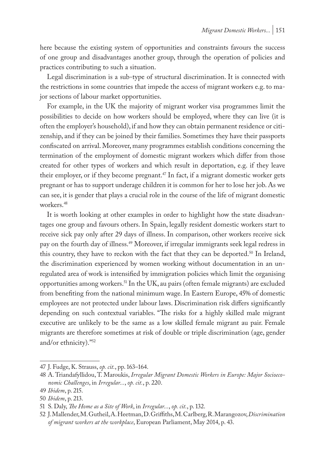here because the existing system of opportunities and constraints favours the success of one group and disadvantages another group, through the operation of policies and practices contributing to such a situation.

Legal discrimination is a sub-type of structural discrimination. It is connected with the restrictions in some countries that impede the access of migrant workers e.g. to major sections of labour market opportunities.

For example, in the UK the majority of migrant worker visa programmes limit the possibilities to decide on how workers should be employed, where they can live (it is often the employer's household), if and how they can obtain permanent residence or citizenship, and if they can be joined by their families. Sometimes they have their passports confiscated on arrival. Moreover, many programmes establish conditions concerning the termination of the employment of domestic migrant workers which differ from those created for other types of workers and which result in deportation, e.g. if they leave their employer, or if they become pregnant.<sup>47</sup> In fact, if a migrant domestic worker gets pregnant or has to support underage children it is common for her to lose her job. As we can see, it is gender that plays a crucial role in the course of the life of migrant domestic workers.48

It is worth looking at other examples in order to highlight how the state disadvantages one group and favours others. In Spain, legally resident domestic workers start to receive sick pay only after 29 days of illness. In comparison, other workers receive sick pay on the fourth day of illness.49 Moreover, if irregular immigrants seek legal redress in this country, they have to reckon with the fact that they can be deported.<sup>50</sup> In Ireland, the discrimination experienced by women working without documentation in an unregulated area of work is intensified by immigration policies which limit the organising opportunities among workers.51 In the UK, au pairs (often female migrants) are excluded from benefiting from the national minimum wage. In Eastern Europe, 45% of domestic employees are not protected under labour laws. Discrimination risk differs significantly depending on such contextual variables. "The risks for a highly skilled male migrant executive are unlikely to be the same as a low skilled female migrant au pair. Female migrants are therefore sometimes at risk of double or triple discrimination (age, gender and/or ethnicity)."52

<sup>47</sup> J. Fudge, K. Strauss, *op. cit.*, pp. 163–164.

<sup>48</sup> A. Triandafyllidou, T. Maroukis, *Irregular Migrant Domestic Workers in Europe: Major Socioeconomic Challenges*, in *Irregular...*, *op. cit.*, p. 220.

<sup>49</sup> *Ibidem*, p. 215.

<sup>50</sup> *Ibidem*, p. 213.

<sup>51</sup> S. Daly, *The Home as a Site of Work*, in *Irregular...*, *op. cit.*, p. 132.

<sup>52</sup> J. Mallender, M. Gutheil, A. Heetman, D. Griffiths, M. Carlberg, R. Marangozov, *Discrimination of migrant workers at the workplace*, European Parliament, May 2014, p. 43.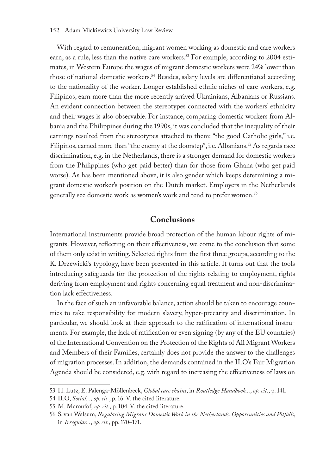#### 152 | Adam Mickiewicz University Law Review

With regard to remuneration, migrant women working as domestic and care workers earn, as a rule, less than the native care workers.<sup>53</sup> For example, according to 2004 estimates, in Western Europe the wages of migrant domestic workers were 24% lower than those of national domestic workers.<sup>54</sup> Besides, salary levels are differentiated according to the nationality of the worker. Longer established ethnic niches of care workers, e.g. Filipinos, earn more than the more recently arrived Ukrainians, Albanians or Russians. An evident connection between the stereotypes connected with the workers' ethnicity and their wages is also observable. For instance, comparing domestic workers from Albania and the Philippines during the 1990s, it was concluded that the inequality of their earnings resulted from the stereotypes attached to them: "the good Catholic girls," i.e. Filipinos, earned more than "the enemy at the doorstep", i.e. Albanians.<sup>55</sup> As regards race discrimination, e.g. in the Netherlands, there is a stronger demand for domestic workers from the Philippines (who get paid better) than for those from Ghana (who get paid worse). As has been mentioned above, it is also gender which keeps determining a migrant domestic worker's position on the Dutch market. Employers in the Netherlands generally see domestic work as women's work and tend to prefer women.56

#### **Conclusions**

International instruments provide broad protection of the human labour rights of migrants. However, reflecting on their effectiveness, we come to the conclusion that some of them only exist in writing. Selected rights from the first three groups, according to the K. Drzewicki's typology, have been presented in this article. It turns out that the tools introducing safeguards for the protection of the rights relating to employment, rights deriving from employment and rights concerning equal treatment and non-discrimination lack effectiveness.

In the face of such an unfavorable balance, action should be taken to encourage countries to take responsibility for modern slavery, hyper-precarity and discrimination. In particular, we should look at their approach to the ratification of international instruments. For example, the lack of ratification or even signing (by any of the EU countries) of the International Convention on the Protection of the Rights of All Migrant Workers and Members of their Families, certainly does not provide the answer to the challenges of migration processes. In addition, the demands contained in the ILO's Fair Migration Agenda should be considered, e.g. with regard to increasing the effectiveness of laws on

<sup>53</sup> H. Lutz, E. Palenga-Möllenbeck, *Global care chains*, in *Routledge Handbook...*, *op. cit.*, p. 141.

<sup>54</sup> ILO, *Social..., op. cit.*, p. 16. V. the cited literature.

<sup>55</sup> M. Maroufof, *op. cit.*, p. 104. V. the cited literature.

<sup>56</sup> S. van Walsum, *Regulating Migrant Domestic Work in the Netherlands: Opportunities and Pitfalls*, in *Irregular...*, *op. cit.*, pp. 170–171.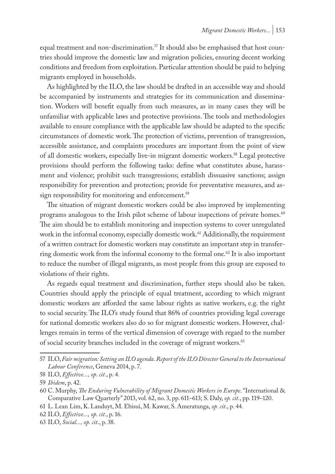equal treatment and non-discrimination.<sup>57</sup> It should also be emphasised that host countries should improve the domestic law and migration policies, ensuring decent working conditions and freedom from exploitation. Particular attention should be paid to helping migrants employed in households.

As highlighted by the ILO, the law should be drafted in an accessible way and should be accompanied by instruments and strategies for its communication and dissemination. Workers will benefit equally from such measures, as in many cases they will be unfamiliar with applicable laws and protective provisions. The tools and methodologies available to ensure compliance with the applicable law should be adapted to the specific circumstances of domestic work. The protection of victims, prevention of transgression, accessible assistance, and complaints procedures are important from the point of view of all domestic workers, especially live-in migrant domestic workers.58 Legal protective provisions should perform the following tasks: define what constitutes abuse, harassment and violence; prohibit such transgressions; establish dissuasive sanctions; assign responsibility for prevention and protection; provide for preventative measures, and assign responsibility for monitoring and enforcement.<sup>59</sup>

The situation of migrant domestic workers could be also improved by implementing programs analogous to the Irish pilot scheme of labour inspections of private homes.<sup>60</sup> The aim should be to establish monitoring and inspection systems to cover unregulated work in the informal economy, especially domestic work.<sup>61</sup> Additionally, the requirement of a written contract for domestic workers may constitute an important step in transferring domestic work from the informal economy to the formal one.<sup>62</sup> It is also important to reduce the number of illegal migrants, as most people from this group are exposed to violations of their rights.

As regards equal treatment and discrimination, further steps should also be taken. Countries should apply the principle of equal treatment, according to which migrant domestic workers are afforded the same labour rights as native workers, e.g. the right to social security. The ILO's study found that 86% of countries providing legal coverage for national domestic workers also do so for migrant domestic workers. However, challenges remain in terms of the vertical dimension of coverage with regard to the number of social security branches included in the coverage of migrant workers.<sup>63</sup>

- 61 L. Lean Lim, K. Landuyt, M. Ebisui, M. Kawar, S. Ameratunga, *op. cit*., p. 44.
- 62 ILO, *Effective..., op. cit.*, p. 16.
- 63 ILO, *Social..., op. cit*., p. 38.

<sup>57</sup> ILO, *Fair migration: Setting an ILO agenda. Report of the ILO Director General to the International Labour Conference*, Geneva 2014, p. 7.

<sup>58</sup> ILO, *Effective..., op. cit.*, p. 4.

<sup>59</sup> *Ibidem*, p. 42.

<sup>60</sup> C. Murphy, *The Enduring Vulnerability of Migrant Domestic Workers in Europe*. "International & Comparative Law Quarterly" 2013, vol. 62, no. 3, pp. 611–613; S. Daly, *op. cit.*, pp. 119–120.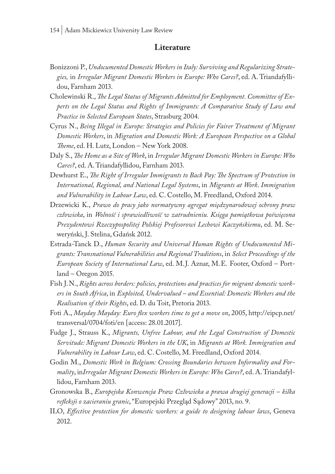#### **Literature**

- Bonizzoni P., *Undocumented Domestic Workers in Italy: Surviving and Regularizing Strategies,* in *Irregular Migrant Domestic Workers in Europe: Who Cares?*, ed. A. Triandafyllidou, Farnham 2013.
- Cholewinski R., *The Legal Status of Migrants Admitted for Employment. Committee of Experts on the Legal Status and Rights of Immigrants: A Comparative Study of Law and Practice in Selected European States*, Strasburg 2004.
- Cyrus N., *Being Illegal in Europe: Strategies and Policies for Fairer Treatment of Migrant Domestic Workers*, in *Migration and Domestic Work: A European Perspective on a Global Theme*, ed. H. Lutz, London – New York 2008.
- Daly S., *The Home as a Site of Work*, in *Irregular Migrant Domestic Workers in Europe: Who Cares?*, ed. A. Triandafyllidou, Farnham 2013.
- Dewhurst E., *The Right of Irregular Immigrants to Back Pay: The Spectrum of Protection in International, Regional, and National Legal Systems*, in *Migrants at Work*. *Immigration and Vulnerability in Labour Law*, ed. C. Costello, M. Freedland, Oxford 2014.
- Drzewicki K., *Prawo do pracy jako normatywny agregat międzynarodowej ochrony praw człowieka*, in *Wolność i sprawiedliwość w zatrudnieniu. Księga pamiątkowa poświęcona Prezydentowi Rzeczypospolitej Polskiej Profesorowi Lechowi Kaczyńskiemu*, ed. M. Seweryński, J. Stelina, Gdańsk 2012.
- Estrada-Tanck D., *Human Security and Universal Human Rights of Undocumented Migrants: Transnational Vulnerabilities and Regional Traditions*, in *Select Proceedings of the European Society of International Law*, ed. M.J. Aznar, M.E. Footer, Oxford – Portland – Oregon 2015.
- Fish J.N., *Rights across borders: policies, protections and practices for migrant domestic workers in South Africa*, in *Exploited, Undervalued – and Essential: Domestic Workers and the Realisation of their Rights*, ed. D. du Toit, Pretoria 2013.
- Foti A., *Mayday Mayday: Euro flex workers time to get a move on*, 2005, http://eipcp.net/ transversal/0704/foti/en [access: 28.01.2017].
- Fudge J., Strauss K., *Migrants, Unfree Labour, and the Legal Construction of Domestic Servitude: Migrant Domestic Workers in the UK*, in *Migrants at Work. Immigration and Vulnerability in Labour Law*, ed. C. Costello, M. Freedland, Oxford 2014.
- Godin M., *Domestic Work in Belgium: Crossing Boundaries between Informality and Formality*, in*Irregular Migrant Domestic Workers in Europe: Who Cares?*, ed. A. Triandafyllidou, Farnham 2013.
- Gronowska B., *Europejska Konwencja Praw Człowieka a prawa drugiej generacji kilka refleksji o zacieraniu granic*, "Europejski Przegląd Sądowy" 2013, no. 9.
- ILO, *Effective protection for domestic workers: a guide to designing labour laws*, Geneva 2012.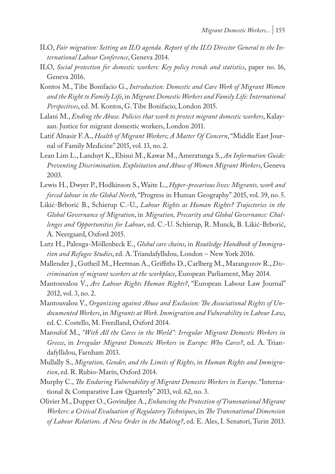- ILO, *Fair migration: Setting an ILO agenda. Report of the ILO Director General to the International Labour Conference*, Geneva 2014.
- ILO, *Social protection for domestic workers: Key policy trends and statistics*, paper no. 16, Geneva 2016.
- Kontos M., Tibe Bonifacio G., *Introduction: Domestic and Care Work of Migrant Women and the Right to Family Life*, in *Migrant Domestic Workers and Family Life: International Perspectives*, ed. M. Kontos, G. Tibe Bonifacio, London 2015.
- Lalani M., *Ending the Abuse. Policies that work to protect migrant domestic workers*, Kalayaan. Justice for migrant domestic workers, London 2011.
- Latif Alnasir F.A., *Health of Migrant Workers; A Matter Of Concern*, "Middle East Journal of Family Medicine" 2015, vol. 13, no. 2.
- Lean Lim L., Landuyt K., Ebisui M., Kawar M., Ameratunga S., *An Information Guide: Preventing Discrimination, Exploitation and Abuse of Women Migrant Workers*, Geneva 2003.
- Lewis H., Dwyer P., Hodkinson S., Waite L., *Hyper-precarious lives: Migrants, work and forced labour in the Global North*, "Progress in Human Geography" 2015, vol. 39, no. 5.
- Likić-Brborić B., Schierup C.-U., *Labour Rights as Human Rights? Trajectories in the Global Governance of Migration*, in *Migration, Precarity and Global Governance: Challenges and Opportunities for Labour*, ed. C.-U. Schierup, R. Munck, B. Likić-Brborić, A. Neergaard, Oxford 2015.
- Lutz H., Palenga-Möllenbeck E., *Global care chains*, in *Routledge Handbook of Immigration and Refugee Studies*, ed. A. Triandafyllidou, London – New York 2016.
- Mallender J., Gutheil M., Heetman A., Griffiths D., Carlberg M., Marangozov R., *Discrimination of migrant workers at the workplace*, European Parliament, May 2014.
- Mantouvalou V., *Are Labour Rights Human Rights?*, "European Labour Law Journal" 2012, vol. 3, no. 2.
- Mantouvalou V., *Organizing against Abuse and Exclusion: The Associational Rights of Undocumented Workers*, in *Migrants at Work*. *Immigration and Vulnerability in Labour Law*, ed. C. Costello, M. Freedland, Oxford 2014.
- Maroufof M., *"With All the Cares in the World": Irregular Migrant Domestic Workers in Greece*, in *Irregular Migrant Domestic Workers in Europe: Who Cares?*, ed. A. Triandafyllidou, Farnham 2013.
- Mullally S., *Migration, Gender, and the Limits of Rights*, in *Human Rights and Immigration*, ed. R. Rubio-Marín, Oxford 2014.
- Murphy C., *The Enduring Vulnerability of Migrant Domestic Workers in Europe*. "International & Comparative Law Quarterly" 2013, vol. 62, no. 3.
- Olivier M., Dupper O., Govindjee A., *Enhancing the Protection of Transnational Migrant Workers: a Critical Evaluation of Regulatory Techniques*, in *The Transnational Dimension of Labour Relations. A New Order in the Making?*, ed. E. Ales, I. Senatori, Turin 2013.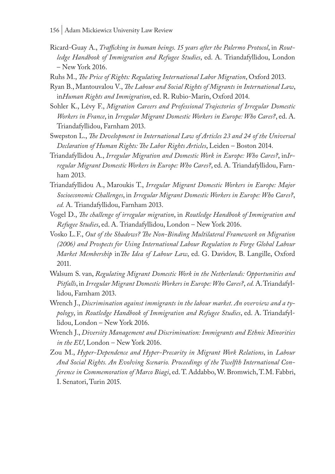- Ricard-Guay A., *Trafficking in human beings. 15 years after the Palermo Protocol*, in *Routledge Handbook of Immigration and Refugee Studies*, ed. A. Triandafyllidou, London – New York 2016.
- Ruhs M., *The Price of Rights: Regulating International Labor Migration*, Oxford 2013.
- Ryan B., Mantouvalou V., *The Labour and Social Rights of Migrants in International Law*, in*Human Rights and Immigration*, ed. R. Rubio-Marín, Oxford 2014.
- Sohler K., Lévy F., *Migration Careers and Professional Trajectories of Irregular Domestic Workers in France*, in *Irregular Migrant Domestic Workers in Europe: Who Cares?*, ed. A. Triandafyllidou, Farnham 2013.
- Swepston L., *The Development in International Law of Articles 23 and 24 of the Universal Declaration of Human Rights: The Labor Rights Articles*, Leiden – Boston 2014.
- Triandafyllidou A., *Irregular Migration and Domestic Work in Europe: Who Cares?*, in*Irregular Migrant Domestic Workers in Europe: Who Cares?*, ed. A. Triandafyllidou, Farnham 2013.
- Triandafyllidou A., Maroukis T., *Irregular Migrant Domestic Workers in Europe: Major Socioeconomic Challenges*, in *Irregular Migrant Domestic Workers in Europe: Who Cares?*, *ed.* A. Triandafyllidou, Farnham 2013.
- Vogel D., *The challenge of irregular migration*, in *Routledge Handbook of Immigration and Refugee Studies*, ed. A. Triandafyllidou, London – New York 2016.
- Vosko L.F., *Out of the Shadows? The Non-Binding Multilateral Framework on Migration (2006) and Prospects for Using International Labour Regulation to Forge Global Labour Market Membership* in*The Idea of Labour Law*, ed. G. Davidov, B. Langille, Oxford 2011.
- Walsum S. van, *Regulating Migrant Domestic Work in the Netherlands: Opportunities and Pitfalls*, in *Irregular Migrant Domestic Workers in Europe: Who Cares?*, *ed.* A. Triandafyllidou, Farnham 2013.
- Wrench J., *Discrimination against immigrants in the labour market. An overview and a typology*, in *Routledge Handbook of Immigration and Refugee Studies*, ed. A. Triandafyllidou, London – New York 2016.
- Wrench J., *Diversity Management and Discrimination: Immigrants and Ethnic Minorities in the EU*, London – New York 2016.
- Zou M., *Hyper-Dependence and Hyper-Precarity in Migrant Work Relations*, in *Labour And Social Rights. An Evolving Scenario. Proceedings of the Twelfth International Conference in Commemoration of Marco Biagi*, ed. T. Addabbo, W. Bromwich, T.M. Fabbri, I. Senatori, Turin 2015.